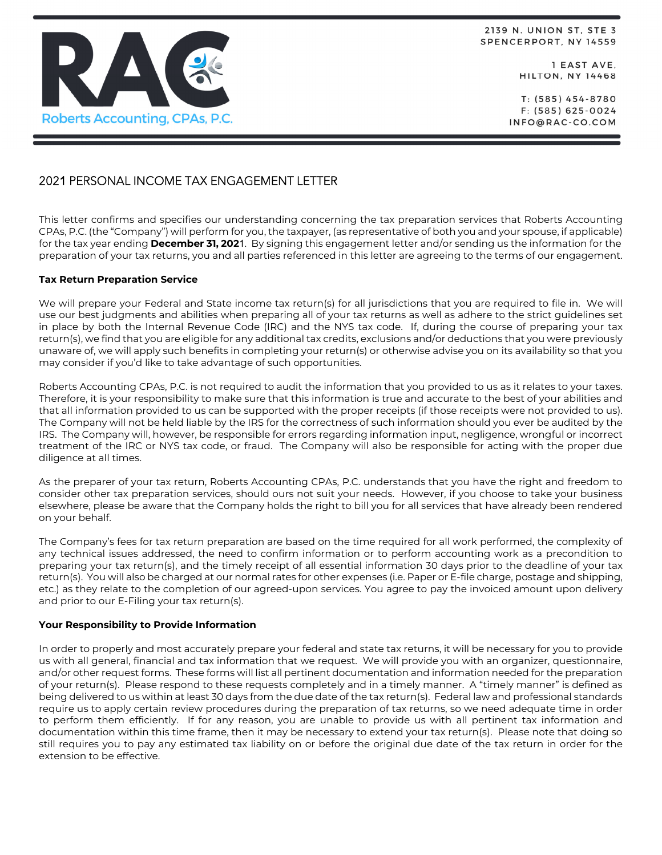

2139 N. UNION ST, STE 3 SPENCERPORT, NY 14559

> I EAST AVE, **HILTON, NY 14468**

T: (585) 454-8780  $F: (585) 625 - 0024$ INFO@RAC-CO.COM

# 2021 PERSONAL INCOME TAX ENGAGEMENT LETTER

This letter confirms and specifies our understanding concerning the tax preparation services that Roberts Accounting CPAs, P.C. (the "Company") will perform for you, the taxpayer, (as representative of both you and your spouse, if applicable) for the tax year ending **December 31, 202**1. By signing this engagement letter and/or sending us the information for the preparation of your tax returns, you and all parties referenced in this letter are agreeing to the terms of our engagement.

## **Tax Return Preparation Service**

We will prepare your Federal and State income tax return(s) for all jurisdictions that you are required to file in. We will use our best judgments and abilities when preparing all of your tax returns as well as adhere to the strict guidelines set in place by both the Internal Revenue Code (IRC) and the NYS tax code. If, during the course of preparing your tax return(s), we find that you are eligible for any additional tax credits, exclusions and/or deductions that you were previously unaware of, we will apply such benefits in completing your return(s) or otherwise advise you on its availability so that you may consider if you'd like to take advantage of such opportunities.

Roberts Accounting CPAs, P.C. is not required to audit the information that you provided to us as it relates to your taxes. Therefore, it is your responsibility to make sure that this information is true and accurate to the best of your abilities and that all information provided to us can be supported with the proper receipts (if those receipts were not provided to us). The Company will not be held liable by the IRS for the correctness of such information should you ever be audited by the IRS. The Company will, however, be responsible for errors regarding information input, negligence, wrongful or incorrect treatment of the IRC or NYS tax code, or fraud. The Company will also be responsible for acting with the proper due diligence at all times.

As the preparer of your tax return, Roberts Accounting CPAs, P.C. understands that you have the right and freedom to consider other tax preparation services, should ours not suit your needs. However, if you choose to take your business elsewhere, please be aware that the Company holds the right to bill you for all services that have already been rendered on your behalf.

The Company's fees for tax return preparation are based on the time required for all work performed, the complexity of any technical issues addressed, the need to confirm information or to perform accounting work as a precondition to preparing your tax return(s), and the timely receipt of all essential information 30 days prior to the deadline of your tax return(s). You will also be charged at our normal rates for other expenses (i.e. Paper or E-file charge, postage and shipping, etc.) as they relate to the completion of our agreed-upon services. You agree to pay the invoiced amount upon delivery and prior to our E-Filing your tax return(s).

## **Your Responsibility to Provide Information**

In order to properly and most accurately prepare your federal and state tax returns, it will be necessary for you to provide us with all general, financial and tax information that we request. We will provide you with an organizer, questionnaire, and/or other request forms. These forms will list all pertinent documentation and information needed for the preparation of your return(s). Please respond to these requests completely and in a timely manner. A "timely manner" is defined as being delivered to us within at least 30 days from the due date of the tax return(s). Federal law and professional standards require us to apply certain review procedures during the preparation of tax returns, so we need adequate time in order to perform them efficiently. If for any reason, you are unable to provide us with all pertinent tax information and documentation within this time frame, then it may be necessary to extend your tax return(s). Please note that doing so still requires you to pay any estimated tax liability on or before the original due date of the tax return in order for the extension to be effective.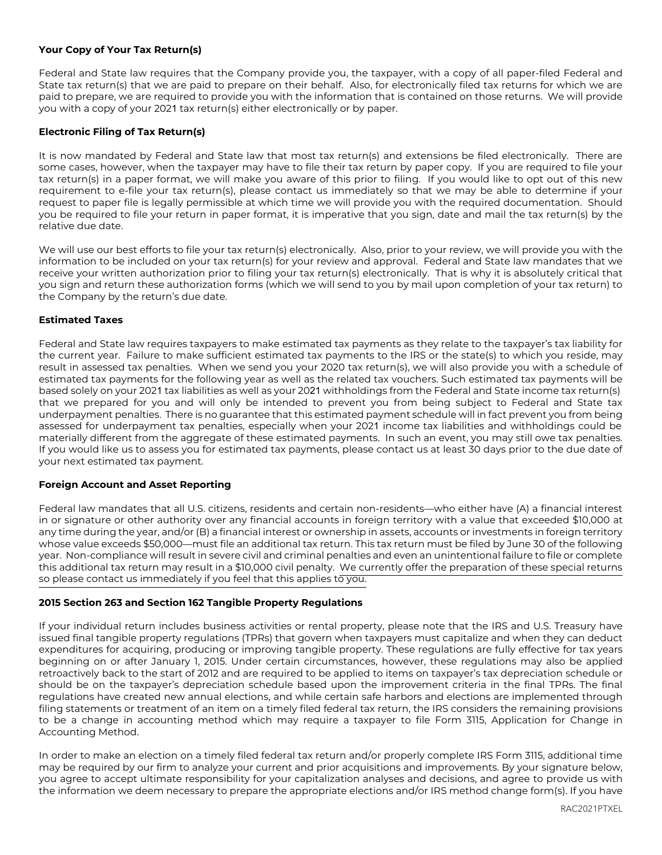## **Your Copy of Your Tax Return(s)**

Federal and State law requires that the Company provide you, the taxpayer, with a copy of all paper-filed Federal and State tax return(s) that we are paid to prepare on their behalf. Also, for electronically filed tax returns for which we are paid to prepare, we are required to provide you with the information that is contained on those returns. We will provide you with a copy of your 2021 tax return(s) either electronically or by paper.

## **Electronic Filing of Tax Return(s)**

It is now mandated by Federal and State law that most tax return(s) and extensions be filed electronically. There are some cases, however, when the taxpayer may have to file their tax return by paper copy. If you are required to file your tax return(s) in a paper format, we will make you aware of this prior to filing. If you would like to opt out of this new requirement to e-file your tax return(s), please contact us immediately so that we may be able to determine if your request to paper file is legally permissible at which time we will provide you with the required documentation. Should you be required to file your return in paper format, it is imperative that you sign, date and mail the tax return(s) by the relative due date.

We will use our best efforts to file your tax return(s) electronically. Also, prior to your review, we will provide you with the information to be included on your tax return(s) for your review and approval. Federal and State law mandates that we receive your written authorization prior to filing your tax return(s) electronically. That is why it is absolutely critical that you sign and return these authorization forms (which we will send to you by mail upon completion of your tax return) to the Company by the return's due date.

## **Estimated Taxes**

Federal and State law requires taxpayers to make estimated tax payments as they relate to the taxpayer's tax liability for the current year. Failure to make sufficient estimated tax payments to the IRS or the state(s) to which you reside, may result in assessed tax penalties. When we send you your 2020 tax return(s), we will also provide you with a schedule of estimated tax payments for the following year as well as the related tax vouchers. Such estimated tax payments will be based solely on your 2021 tax liabilities as well as your 2021 withholdings from the Federal and State income tax return(s) that we prepared for you and will only be intended to prevent you from being subject to Federal and State tax underpayment penalties. There is no guarantee that this estimated payment schedule will in fact prevent you from being assessed for underpayment tax penalties, especially when your 2021 income tax liabilities and withholdings could be materially different from the aggregate of these estimated payments. In such an event, you may still owe tax penalties. If you would like us to assess you for estimated tax payments, please contact us at least 30 days prior to the due date of your next estimated tax payment.

### **Foreign Account and Asset Reporting**

Federal law mandates that all U.S. citizens, residents and certain non-residents—who either have (A) a financial interest in or signature or other authority over any financial accounts in foreign territory with a value that exceeded \$10,000 at any time during the year, and/or (B) a financial interest or ownership in assets, accounts or investments in foreign territory whose value exceeds \$50,000—must file an additional tax return. This tax return must be filed by June 30 of the following year. Non-compliance will result in severe civil and criminal penalties and even an unintentional failure to file or complete this additional tax return may result in a \$10,000 civil penalty. We currently offer the preparation of these special returns so please contact us immediately if you feel that this applies to you.

## **2015 Section 263 and Section 162 Tangible Property Regulations**

If your individual return includes business activities or rental property, please note that the IRS and U.S. Treasury have issued final tangible property regulations (TPRs) that govern when taxpayers must capitalize and when they can deduct expenditures for acquiring, producing or improving tangible property. These regulations are fully effective for tax years beginning on or after January 1, 2015. Under certain circumstances, however, these regulations may also be applied retroactively back to the start of 2012 and are required to be applied to items on taxpayer's tax depreciation schedule or should be on the taxpayer's depreciation schedule based upon the improvement criteria in the final TPRs. The final regulations have created new annual elections, and while certain safe harbors and elections are implemented through filing statements or treatment of an item on a timely filed federal tax return, the IRS considers the remaining provisions to be a change in accounting method which may require a taxpayer to file Form 3115, Application for Change in Accounting Method.

In order to make an election on a timely filed federal tax return and/or properly complete IRS Form 3115, additional time may be required by our firm to analyze your current and prior acquisitions and improvements. By your signature below, you agree to accept ultimate responsibility for your capitalization analyses and decisions, and agree to provide us with the information we deem necessary to prepare the appropriate elections and/or IRS method change form(s). If you have